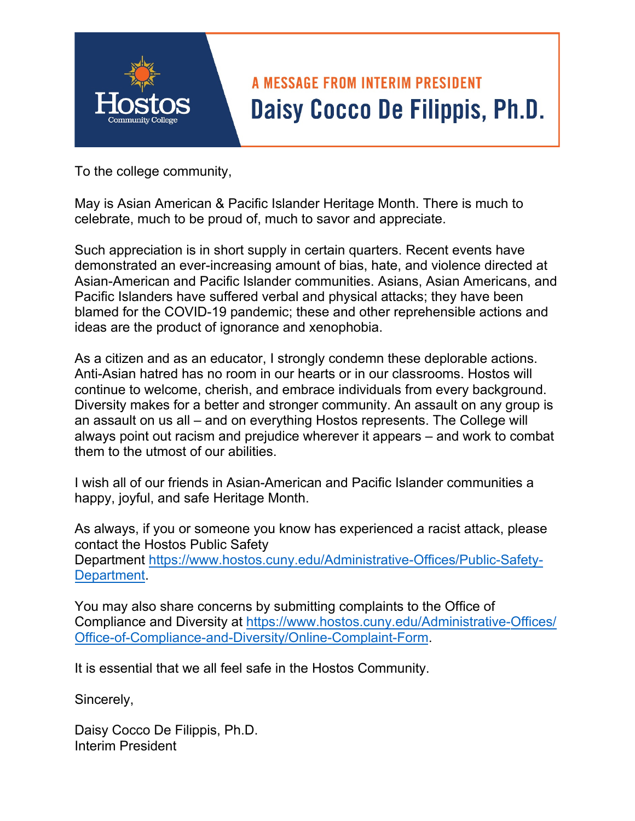

To the college community,

May is Asian American & Pacific Islander Heritage Month. There is much to celebrate, much to be proud of, much to savor and appreciate.

Such appreciation is in short supply in certain quarters. Recent events have demonstrated an ever-increasing amount of bias, hate, and violence directed at Asian-American and Pacific Islander communities. Asians, Asian Americans, and Pacific Islanders have suffered verbal and physical attacks; they have been blamed for the COVID-19 pandemic; these and other reprehensible actions and ideas are the product of ignorance and xenophobia.

As a citizen and as an educator, I strongly condemn these deplorable actions. Anti-Asian hatred has no room in our hearts or in our classrooms. Hostos will continue to welcome, cherish, and embrace individuals from every background. Diversity makes for a better and stronger community. An assault on any group is an assault on us all – and on everything Hostos represents. The College will always point out racism and prejudice wherever it appears – and work to combat them to the utmost of our abilities.

I wish all of our friends in Asian-American and Pacific Islander communities a happy, joyful, and safe Heritage Month.

As always, if you or someone you know has experienced a racist attack, please contact the Hostos Public Safety [Department https://www.hostos.cuny.edu/Administrative-Offices/Public-Safety-](https://www.hostos.cuny.edu/Administrative-Offices/Public-Safety-Department)Department.

You may also share concerns by submitting complaints to the Office of Compliance and Diversity at https://www.hostos.cuny.edu/Administrative-Offices/ [Office-of-Compliance-and-Diversity/Online-Complaint-Form.](https://www.hostos.cuny.edu/Administrative-Offices/Office-of-Compliance-and-Diversity/Online-Complaint-Form) 

It is essential that we all feel safe in the Hostos Community.

Sincerely,

Daisy Cocco De Filippis, Ph.D. Interim President